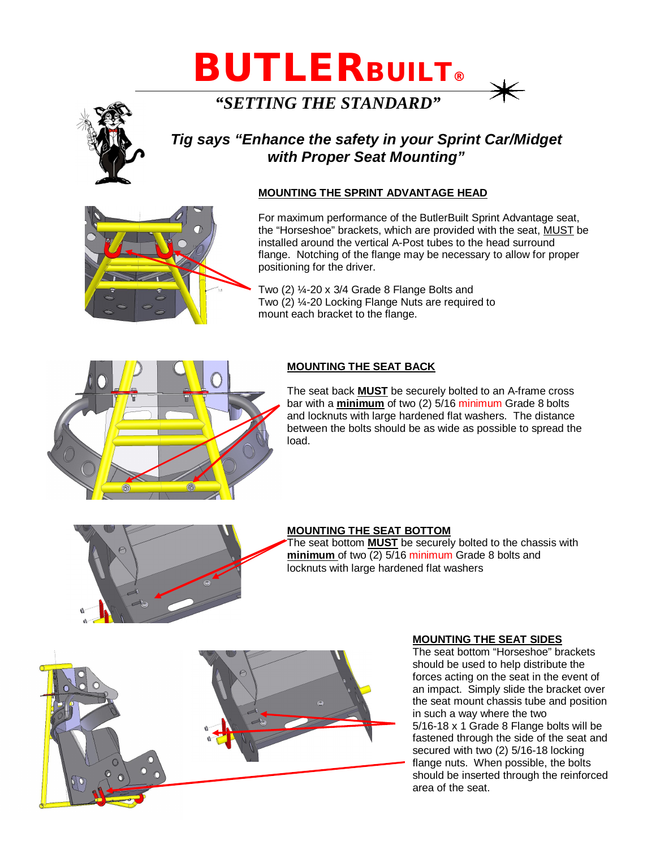# **BUTLER***BUILT***®**

*"SETTING THE STANDARD"*

# *Tig says "Enhance the safety in your Sprint Car/Midget with Proper Seat Mounting"*

## **MOUNTING THE SPRINT ADVANTAGE HEAD**

For maximum performance of the ButlerBuilt Sprint Advantage seat, the "Horseshoe" brackets, which are provided with the seat, MUST be installed around the vertical A-Post tubes to the head surround flange. Notching of the flange may be necessary to allow for proper positioning for the driver.

Two (2) ¼-20 x 3/4 Grade 8 Flange Bolts and Two (2) ¼-20 Locking Flange Nuts are required to mount each bracket to the flange.

### **MOUNTING THE SEAT BACK**

The seat back **MUST** be securely bolted to an A-frame cross bar with a **minimum** of two (2) 5/16 minimum Grade 8 bolts and locknuts with large hardened flat washers. The distance between the bolts should be as wide as possible to spread the load.

#### **MOUNTING THE SEAT BOTTOM**

The seat bottom **MUST** be securely bolted to the chassis with **minimum** of two (2) 5/16 minimum Grade 8 bolts and locknuts with large hardened flat washers

#### **MOUNTING THE SEAT SIDES**

The seat bottom "Horseshoe" brackets should be used to help distribute the forces acting on the seat in the event of an impact. Simply slide the bracket over the seat mount chassis tube and position in such a way where the two 5/16-18 x 1 Grade 8 Flange bolts will be fastened through the side of the seat and secured with two (2) 5/16-18 locking flange nuts. When possible, the bolts should be inserted through the reinforced area of the seat.